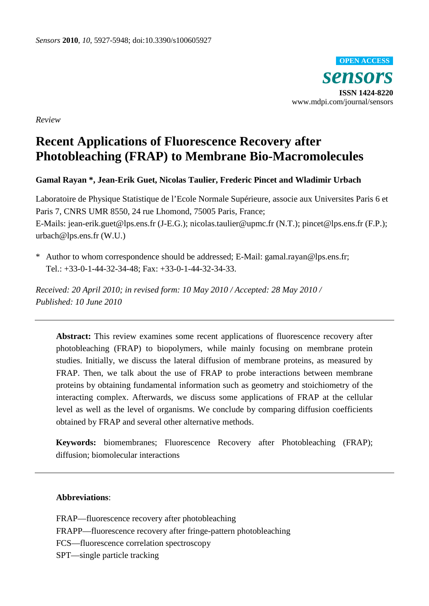

*Review*

# **Recent Applications of Fluorescence Recovery after Photobleaching (FRAP) to Membrane Bio-Macromolecules**

# **Gamal Rayan \*, Jean-Erik Guet, Nicolas Taulier, Frederic Pincet and Wladimir Urbach**

Laboratoire de Physique Statistique de l'Ecole Normale Supérieure, associe aux Universites Paris 6 et Paris 7, CNRS UMR 8550, 24 rue Lhomond, 75005 Paris, France; E-Mails: jean-erik.guet@lps.ens.fr (J-E.G.); nicolas.taulier@upmc.fr (N.T.); pincet@lps.ens.fr (F.P.); urbach@lps.ens.fr (W.U.)

\* Author to whom correspondence should be addressed; E-Mail: gamal.rayan@lps.ens.fr; Tel.: +33-0-1-44-32-34-48; Fax: +33-0-1-44-32-34-33.

*Received: 20 April 2010; in revised form: 10 May 2010 / Accepted: 28 May 2010 / Published: 10 June 2010*

**Abstract:** This review examines some recent applications of fluorescence recovery after photobleaching (FRAP) to biopolymers, while mainly focusing on membrane protein studies. Initially, we discuss the lateral diffusion of membrane proteins, as measured by FRAP. Then, we talk about the use of FRAP to probe interactions between membrane proteins by obtaining fundamental information such as geometry and stoichiometry of the interacting complex. Afterwards, we discuss some applications of FRAP at the cellular level as well as the level of organisms. We conclude by comparing diffusion coefficients obtained by FRAP and several other alternative methods.

**Keywords:** biomembranes; Fluorescence Recovery after Photobleaching (FRAP); diffusion; biomolecular interactions

#### **Abbreviations**:

FRAP—fluorescence recovery after photobleaching FRAPP—fluorescence recovery after fringe-pattern photobleaching FCS—fluorescence correlation spectroscopy SPT—single particle tracking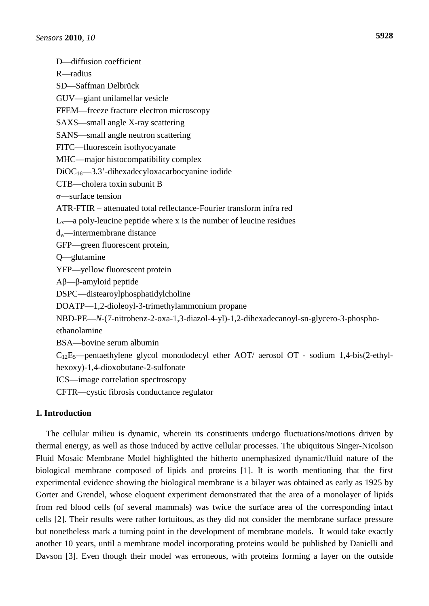| D-diffusion coefficient                                                                       |
|-----------------------------------------------------------------------------------------------|
| R-radius                                                                                      |
| SD-Saffman Delbrück                                                                           |
| GUV-giant unilamellar vesicle                                                                 |
| FFEM—freeze fracture electron microscopy                                                      |
| SAXS—small angle X-ray scattering                                                             |
| SANS—small angle neutron scattering                                                           |
| FITC-fluorescein isothyocyanate                                                               |
| MHC—major histocompatibility complex                                                          |
| $DiOC_{16}$ —3.3'-dihexadecyloxacarbocyanine iodide                                           |
| CTB-cholera toxin subunit B                                                                   |
| $\sigma$ —surface tension                                                                     |
| ATR-FTIR – attenuated total reflectance-Fourier transform infra red                           |
| $L_x$ —a poly-leucine peptide where x is the number of leucine residues                       |
| $d_w$ —intermembrane distance                                                                 |
| GFP-green fluorescent protein,                                                                |
| Q-glutamine                                                                                   |
| YFP-yellow fluorescent protein                                                                |
| $A\beta$ - $\beta$ -amyloid peptide                                                           |
| DSPC—distearoylphosphatidylcholine                                                            |
| DOATP—1,2-dioleoyl-3-trimethylammonium propane                                                |
| NBD-PE-N-(7-nitrobenz-2-oxa-1,3-diazol-4-yl)-1,2-dihexadecanoyl-sn-glycero-3-phospho-         |
| ethanolamine                                                                                  |
| BSA—bovine serum albumin                                                                      |
| $C_{12}E_5$ —pentaethylene glycol monododecyl ether AOT/ aerosol OT - sodium 1,4-bis(2-ethyl- |
| hexoxy)-1,4-dioxobutane-2-sulfonate                                                           |
| ICS—image correlation spectroscopy                                                            |
| CFTR—cystic fibrosis conductance regulator                                                    |

# **1. Introduction**

The cellular milieu is dynamic, wherein its constituents undergo fluctuations/motions driven by thermal energy, as well as those induced by active cellular processes. The ubiquitous Singer-Nicolson Fluid Mosaic Membrane Model highlighted the hitherto unemphasized dynamic/fluid nature of the biological membrane composed of lipids and proteins [1]. It is worth mentioning that the first experimental evidence showing the biological membrane is a bilayer was obtained as early as 1925 by Gorter and Grendel, whose eloquent experiment demonstrated that the area of a monolayer of lipids from red blood cells (of several mammals) was twice the surface area of the corresponding intact cells [2]. Their results were rather fortuitous, as they did not consider the membrane surface pressure but nonetheless mark a turning point in the development of membrane models. It would take exactly another 10 years, until a membrane model incorporating proteins would be published by Danielli and Davson [3]. Even though their model was erroneous, with proteins forming a layer on the outside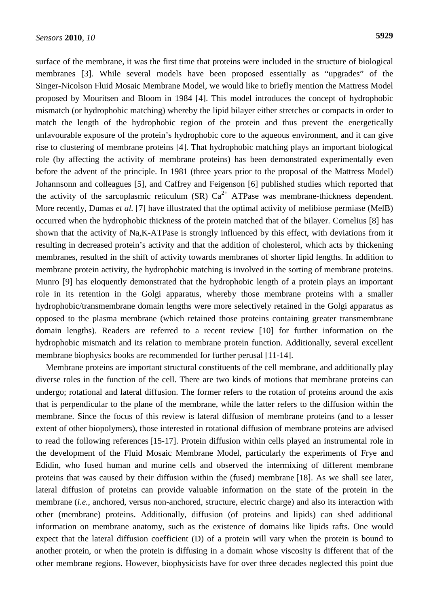surface of the membrane, it was the first time that proteins were included in the structure of biological membranes [3]. While several models have been proposed essentially as "upgrades" of the Singer-Nicolson Fluid Mosaic Membrane Model, we would like to briefly mention the Mattress Model proposed by Mouritsen and Bloom in 1984 [4]. This model introduces the concept of hydrophobic mismatch (or hydrophobic matching) whereby the lipid bilayer either stretches or compacts in order to match the length of the hydrophobic region of the protein and thus prevent the energetically unfavourable exposure of the protein's hydrophobic core to the aqueous environment, and it can give rise to clustering of membrane proteins [4]. That hydrophobic matching plays an important biological role (by affecting the activity of membrane proteins) has been demonstrated experimentally even before the advent of the principle. In 1981 (three years prior to the proposal of the Mattress Model) Johannsonn and colleagues [5], and Caffrey and Feigenson [6] published studies which reported that the activity of the sarcoplasmic reticulum (SR)  $Ca^{2+}$  ATPase was membrane-thickness dependent. More recently, Dumas *et al.* [7] have illustrated that the optimal activity of melibiose permiase (MelB) occurred when the hydrophobic thickness of the protein matched that of the bilayer. Cornelius [8] has shown that the activity of Na,K-ATPase is strongly influenced by this effect, with deviations from it resulting in decreased protein's activity and that the addition of cholesterol, which acts by thickening membranes, resulted in the shift of activity towards membranes of shorter lipid lengths. In addition to membrane protein activity, the hydrophobic matching is involved in the sorting of membrane proteins. Munro [9] has eloquently demonstrated that the hydrophobic length of a protein plays an important role in its retention in the Golgi apparatus, whereby those membrane proteins with a smaller hydrophobic/transmembrane domain lengths were more selectively retained in the Golgi apparatus as opposed to the plasma membrane (which retained those proteins containing greater transmembrane domain lengths). Readers are referred to a recent review [10] for further information on the hydrophobic mismatch and its relation to membrane protein function. Additionally, several excellent membrane biophysics books are recommended for further perusal [11-14].

Membrane proteins are important structural constituents of the cell membrane, and additionally play diverse roles in the function of the cell. There are two kinds of motions that membrane proteins can undergo; rotational and lateral diffusion. The former refers to the rotation of proteins around the axis that is perpendicular to the plane of the membrane, while the latter refers to the diffusion within the membrane. Since the focus of this review is lateral diffusion of membrane proteins (and to a lesser extent of other biopolymers), those interested in rotational diffusion of membrane proteins are advised to read the following references [15-17]. Protein diffusion within cells played an instrumental role in the development of the Fluid Mosaic Membrane Model, particularly the experiments of Frye and Edidin, who fused human and murine cells and observed the intermixing of different membrane proteins that was caused by their diffusion within the (fused) membrane [18]. As we shall see later, lateral diffusion of proteins can provide valuable information on the state of the protein in the membrane (*i.e.*, anchored, versus non-anchored, structure, electric charge) and also its interaction with other (membrane) proteins. Additionally, diffusion (of proteins and lipids) can shed additional information on membrane anatomy, such as the existence of domains like lipids rafts. One would expect that the lateral diffusion coefficient (D) of a protein will vary when the protein is bound to another protein, or when the protein is diffusing in a domain whose viscosity is different that of the other membrane regions. However, biophysicists have for over three decades neglected this point due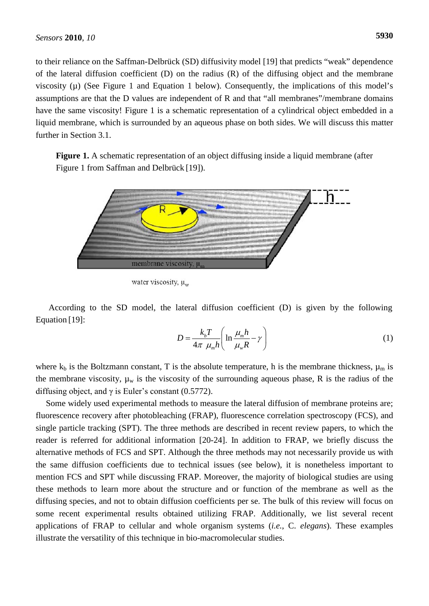to their reliance on the Saffman-Delbrück (SD) diffusivity model [19] that predicts "weak" dependence of the lateral diffusion coefficient (D) on the radius (R) of the diffusing object and the membrane viscosity  $(\mu)$  (See Figure 1 and Equation 1 below). Consequently, the implications of this model's assumptions are that the D values are independent of R and that "all membranes"/membrane domains have the same viscosity! Figure 1 is a schematic representation of a cylindrical object embedded in a liquid membrane, which is surrounded by an aqueous phase on both sides. We will discuss this matter further in Section 3.1.

**Figure 1.** A schematic representation of an object diffusing inside a liquid membrane (after Figure 1 from Saffman and Delbrück [19]).



water viscosity,  $\mu_{\rm w}$ 

According to the SD model, the lateral diffusion coefficient (D) is given by the following Equation [19]:

$$
D = \frac{k_b T}{4\pi \mu_m h} \left( \ln \frac{\mu_m h}{\mu_w R} - \gamma \right)
$$
 (1)

where  $k_b$  is the Boltzmann constant, T is the absolute temperature, h is the membrane thickness,  $\mu_m$  is the membrane viscosity,  $\mu_w$  is the viscosity of the surrounding aqueous phase, R is the radius of the diffusing object, and  $\gamma$  is Euler's constant (0.5772).

Some widely used experimental methods to measure the lateral diffusion of membrane proteins are; fluorescence recovery after photobleaching (FRAP), fluorescence correlation spectroscopy (FCS), and single particle tracking (SPT). The three methods are described in recent review papers, to which the reader is referred for additional information [20-24]. In addition to FRAP, we briefly discuss the alternative methods of FCS and SPT. Although the three methods may not necessarily provide us with the same diffusion coefficients due to technical issues (see below), it is nonetheless important to mention FCS and SPT while discussing FRAP. Moreover, the majority of biological studies are using these methods to learn more about the structure and or function of the membrane as well as the diffusing species, and not to obtain diffusion coefficients per se. The bulk of this review will focus on some recent experimental results obtained utilizing FRAP. Additionally, we list several recent applications of FRAP to cellular and whole organism systems (*i.e.*, C. *elegans*). These examples illustrate the versatility of this technique in bio-macromolecular studies.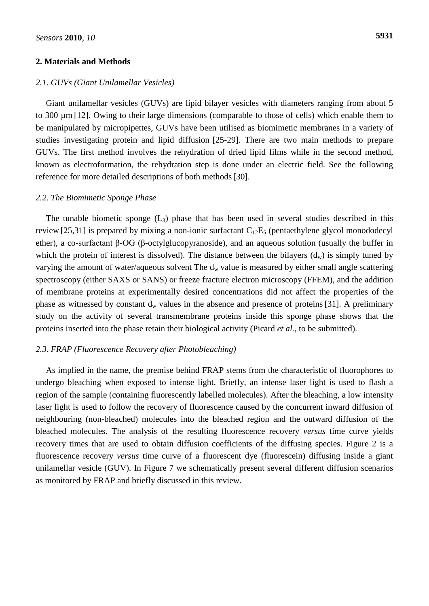#### **2. Materials and Methods**

#### *2.1. GUVs (Giant Unilamellar Vesicles)*

Giant unilamellar vesicles (GUVs) are lipid bilayer vesicles with diameters ranging from about 5 to 300 µm [12]. Owing to their large dimensions (comparable to those of cells) which enable them to be manipulated by micropipettes, GUVs have been utilised as biomimetic membranes in a variety of studies investigating protein and lipid diffusion [25-29]. There are two main methods to prepare GUVs. The first method involves the rehydration of dried lipid films while in the second method, known as electroformation, the rehydration step is done under an electric field. See the following reference for more detailed descriptions of both methods[30].

#### *2.2. The Biomimetic Sponge Phase*

The tunable biometic sponge  $(L_3)$  phase that has been used in several studies described in this review [25,31] is prepared by mixing a non-ionic surfactant  $C_{12}E_5$  (pentaethylene glycol monododecyl ether), a co-surfactant β-OG (β-octylglucopyranoside), and an aqueous solution (usually the buffer in which the protein of interest is dissolved). The distance between the bilayers  $(d_w)$  is simply tuned by varying the amount of water/aqueous solvent The  $d_w$  value is measured by either small angle scattering spectroscopy (either SAXS or SANS) or freeze fracture electron microscopy (FFEM), and the addition of membrane proteins at experimentally desired concentrations did not affect the properties of the phase as witnessed by constant  $d_w$  values in the absence and presence of proteins [31]. A preliminary study on the activity of several transmembrane proteins inside this sponge phase shows that the proteins inserted into the phase retain their biological activity (Picard *et al.*, to be submitted).

#### *2.3. FRAP (Fluorescence Recovery after Photobleaching)*

As implied in the name, the premise behind FRAP stems from the characteristic of fluorophores to undergo bleaching when exposed to intense light. Briefly, an intense laser light is used to flash a region of the sample (containing fluorescently labelled molecules). After the bleaching, a low intensity laser light is used to follow the recovery of fluorescence caused by the concurrent inward diffusion of neighbouring (non-bleached) molecules into the bleached region and the outward diffusion of the bleached molecules. The analysis of the resulting fluorescence recovery *versus* time curve yields recovery times that are used to obtain diffusion coefficients of the diffusing species. Figure 2 is a fluorescence recovery *versus* time curve of a fluorescent dye (fluorescein) diffusing inside a giant unilamellar vesicle (GUV). In Figure 7 we schematically present several different diffusion scenarios as monitored by FRAP and briefly discussed in this review.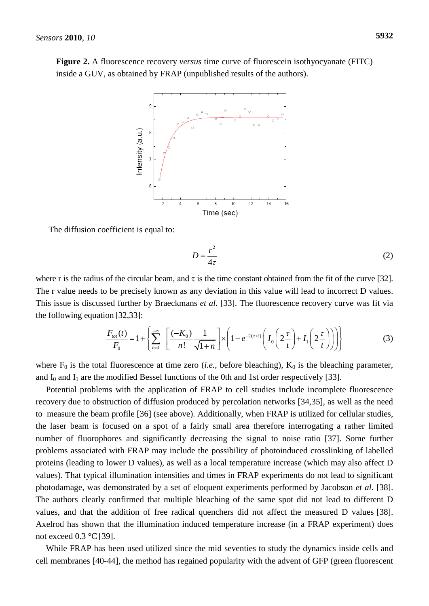**Figure 2.** A fluorescence recovery *versus* time curve of fluorescein isothyocyanate (FITC) inside a GUV, as obtained by FRAP (unpublished results of the authors).



The diffusion coefficient is equal to:

$$
D = \frac{r^2}{4\tau} \tag{2}
$$

where r is the radius of the circular beam, and  $\tau$  is the time constant obtained from the fit of the curve [32]. The r value needs to be precisely known as any deviation in this value will lead to incorrect D values. This issue is discussed further by Braeckmans *et al.* [33]. The fluorescence recovery curve was fit via the following equation [32,33]:

$$
\frac{F_{tot}(t)}{F_0} = 1 + \left\{ \sum_{n=1}^{+\infty} \left[ \frac{(-K_0)}{n!} \frac{1}{\sqrt{1+n}} \right] \times \left( 1 - e^{-2(\tau/t)} \left( I_0 \left( 2 \frac{\tau}{t} \right) + I_1 \left( 2 \frac{\tau}{t} \right) \right) \right) \right\}
$$
(3)

where  $F_0$  is the total fluorescence at time zero (*i.e.*, before bleaching),  $K_0$  is the bleaching parameter, and  $I_0$  and  $I_1$  are the modified Bessel functions of the 0th and 1st order respectively [33].

Potential problems with the application of FRAP to cell studies include incomplete fluorescence recovery due to obstruction of diffusion produced by percolation networks [34,35], as well as the need to measure the beam profile [36] (see above). Additionally, when FRAP is utilized for cellular studies, the laser beam is focused on a spot of a fairly small area therefore interrogating a rather limited number of fluorophores and significantly decreasing the signal to noise ratio [37]. Some further problems associated with FRAP may include the possibility of photoinduced crosslinking of labelled proteins (leading to lower D values), as well as a local temperature increase (which may also affect D values). That typical illumination intensities and times in FRAP experiments do not lead to significant photodamage, was demonstrated by a set of eloquent experiments performed by Jacobson *et al.* [38]. The authors clearly confirmed that multiple bleaching of the same spot did not lead to different D values, and that the addition of free radical quenchers did not affect the measured D values [38]. Axelrod has shown that the illumination induced temperature increase (in a FRAP experiment) does not exceed 0.3 °C [39].

While FRAP has been used utilized since the mid seventies to study the dynamics inside cells and cell membranes [40-44], the method has regained popularity with the advent of GFP (green fluorescent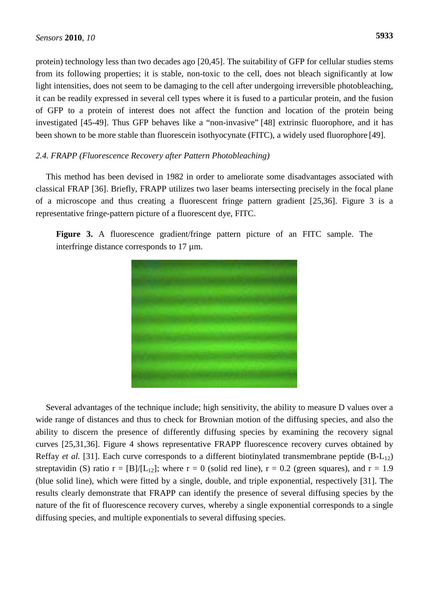protein) technology less than two decades ago [20,45]. The suitability of GFP for cellular studies stems from its following properties; it is stable, non-toxic to the cell, does not bleach significantly at low light intensities, does not seem to be damaging to the cell after undergoing irreversible photobleaching, it can be readily expressed in several cell types where it is fused to a particular protein, and the fusion of GFP to a protein of interest does not affect the function and location of the protein being investigated [45-49]. Thus GFP behaves like a "non-invasive" [48] extrinsic fluorophore, and it has been shown to be more stable than fluorescein isothyocynate (FITC), a widely used fluorophore [49].

# *2.4. FRAPP (Fluorescence Recovery after Pattern Photobleaching)*

This method has been devised in 1982 in order to ameliorate some disadvantages associated with classical FRAP [36]. Briefly, FRAPP utilizes two laser beams intersecting precisely in the focal plane of a microscope and thus creating a fluorescent fringe pattern gradient [25,36]. Figure 3 is a representative fringe-pattern picture of a fluorescent dye, FITC.

**Figure 3.** A fluorescence gradient/fringe pattern picture of an FITC sample. The interfringe distance corresponds to 17 µm.



Several advantages of the technique include; high sensitivity, the ability to measure D values over a wide range of distances and thus to check for Brownian motion of the diffusing species, and also the ability to discern the presence of differently diffusing species by examining the recovery signal curves [25,31,36]. Figure 4 shows representative FRAPP fluorescence recovery curves obtained by Reffay *et al.* [31]. Each curve corresponds to a different biotinylated transmembrane peptide  $(B-L_{12})$ streptavidin (S) ratio  $r = [B]/[L_{12}]$ ; where  $r = 0$  (solid red line),  $r = 0.2$  (green squares), and  $r = 1.9$ (blue solid line), which were fitted by a single, double, and triple exponential, respectively [31]. The results clearly demonstrate that FRAPP can identify the presence of several diffusing species by the nature of the fit of fluorescence recovery curves, whereby a single exponential corresponds to a single diffusing species, and multiple exponentials to several diffusing species.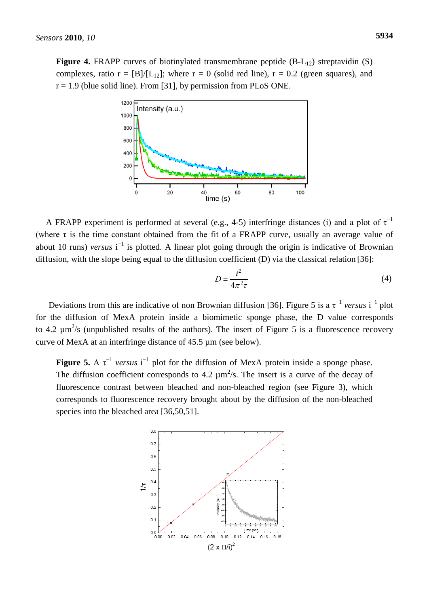**Figure 4.** FRAPP curves of biotinylated transmembrane peptide  $(B-L_{12})$  streptavidin  $(S)$ complexes, ratio  $r = [B]/[L_{12}]$ ; where  $r = 0$  (solid red line),  $r = 0.2$  (green squares), and  $r = 1.9$  (blue solid line). From [31], by permission from PLoS ONE.



A FRAPP experiment is performed at several (e.g., 4-5) interfringe distances (i) and a plot of  $\tau^{-1}$ (where  $\tau$  is the time constant obtained from the fit of a FRAPP curve, usually an average value of about 10 runs) *versus* i<sup>-1</sup> is plotted. A linear plot going through the origin is indicative of Brownian diffusion, with the slope being equal to the diffusion coefficient (D) via the classical relation [36]:

$$
D = \frac{i^2}{4\pi^2 \tau} \tag{4}
$$

Deviations from this are indicative of non Brownian diffusion [36]. Figure 5 is a τ<sup>-1</sup> versus i<sup>-1</sup> plot for the diffusion of MexA protein inside a biomimetic sponge phase, the D value corresponds to 4.2  $\mu$ m<sup>2</sup>/s (unpublished results of the authors). The insert of Figure 5 is a fluorescence recovery curve of MexA at an interfringe distance of 45.5 µm (see below).

**Figure 5.** A  $\tau^{-1}$  *versus* i<sup>-1</sup> plot for the diffusion of MexA protein inside a sponge phase. The diffusion coefficient corresponds to 4.2  $\mu$ m<sup>2</sup>/s. The insert is a curve of the decay of fluorescence contrast between bleached and non-bleached region (see Figure 3), which corresponds to fluorescence recovery brought about by the diffusion of the non-bleached species into the bleached area [36,50,51].

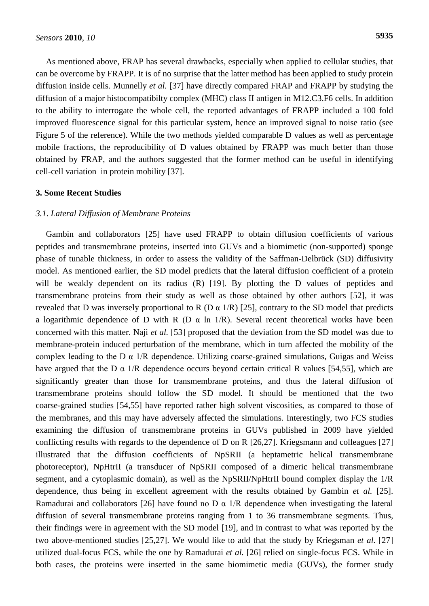As mentioned above, FRAP has several drawbacks, especially when applied to cellular studies, that can be overcome by FRAPP. It is of no surprise that the latter method has been applied to study protein diffusion inside cells. Munnelly *et al.* [37] have directly compared FRAP and FRAPP by studying the diffusion of a major histocompatibilty complex (MHC) class II antigen in M12.C3.F6 cells. In addition to the ability to interrogate the whole cell, the reported advantages of FRAPP included a 100 fold improved fluorescence signal for this particular system, hence an improved signal to noise ratio (see Figure 5 of the reference). While the two methods yielded comparable D values as well as percentage mobile fractions, the reproducibility of D values obtained by FRAPP was much better than those obtained by FRAP, and the authors suggested that the former method can be useful in identifying cell-cell variation in protein mobility [37].

#### **3. Some Recent Studies**

#### *3.1. Lateral Diffusion of Membrane Proteins*

Gambin and collaborators [25] have used FRAPP to obtain diffusion coefficients of various peptides and transmembrane proteins, inserted into GUVs and a biomimetic (non-supported) sponge phase of tunable thickness, in order to assess the validity of the Saffman-Delbrück (SD) diffusivity model. As mentioned earlier, the SD model predicts that the lateral diffusion coefficient of a protein will be weakly dependent on its radius (R) [19]. By plotting the D values of peptides and transmembrane proteins from their study as well as those obtained by other authors [52], it was revealed that D was inversely proportional to R (D  $\alpha$  1/R) [25], contrary to the SD model that predicts a logarithmic dependence of D with R (D  $\alpha$  ln 1/R). Several recent theoretical works have been concerned with this matter. Naji *et al.* [53] proposed that the deviation from the SD model was due to membrane-protein induced perturbation of the membrane, which in turn affected the mobility of the complex leading to the D  $\alpha$  1/R dependence. Utilizing coarse-grained simulations, Guigas and Weiss have argued that the D  $\alpha$  1/R dependence occurs beyond certain critical R values [54,55], which are significantly greater than those for transmembrane proteins, and thus the lateral diffusion of transmembrane proteins should follow the SD model. It should be mentioned that the two coarse-grained studies [54,55] have reported rather high solvent viscosities, as compared to those of the membranes, and this may have adversely affected the simulations. Interestingly, two FCS studies examining the diffusion of transmembrane proteins in GUVs published in 2009 have yielded conflicting results with regards to the dependence of D on R [26,27]. Kriegsmann and colleagues [27] illustrated that the diffusion coefficients of NpSRII (a heptametric helical transmembrane photoreceptor), NpHtrII (a transducer of NpSRII composed of a dimeric helical transmembrane segment, and a cytoplasmic domain), as well as the NpSRII/NpHtrII bound complex display the 1/R dependence, thus being in excellent agreement with the results obtained by Gambin *et al.* [25]. Ramadurai and collaborators [26] have found no D  $\alpha$  1/R dependence when investigating the lateral diffusion of several transmembrane proteins ranging from 1 to 36 transmembrane segments. Thus, their findings were in agreement with the SD model [19], and in contrast to what was reported by the two above-mentioned studies [25,27]. We would like to add that the study by Kriegsman *et al.* [27] utilized dual-focus FCS, while the one by Ramadurai *et al.* [26] relied on single-focus FCS. While in both cases, the proteins were inserted in the same biomimetic media (GUVs), the former study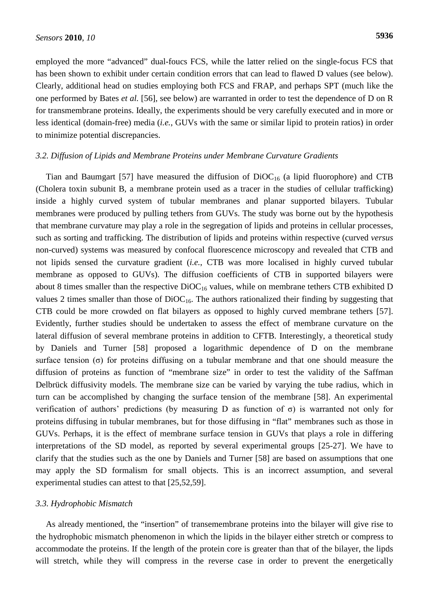employed the more "advanced" dual-foucs FCS, while the latter relied on the single-focus FCS that has been shown to exhibit under certain condition errors that can lead to flawed D values (see below). Clearly, additional head on studies employing both FCS and FRAP, and perhaps SPT (much like the one performed by Bates *et al.* [56], see below) are warranted in order to test the dependence of D on R for transmembrane proteins. Ideally, the experiments should be very carefully executed and in more or less identical (domain-free) media (*i.e.*, GUVs with the same or similar lipid to protein ratios) in order to minimize potential discrepancies.

#### *3.2. Diffusion of Lipids and Membrane Proteins under Membrane Curvature Gradients*

Tian and Baumgart [57] have measured the diffusion of  $DiOC_{16}$  (a lipid fluorophore) and CTB (Cholera toxin subunit B, a membrane protein used as a tracer in the studies of cellular trafficking) inside a highly curved system of tubular membranes and planar supported bilayers. Tubular membranes were produced by pulling tethers from GUVs. The study was borne out by the hypothesis that membrane curvature may play a role in the segregation of lipids and proteins in cellular processes, such as sorting and trafficking. The distribution of lipids and proteins within respective (curved *versus* non-curved) systems was measured by confocal fluorescence microscopy and revealed that CTB and not lipids sensed the curvature gradient (*i.e.*, CTB was more localised in highly curved tubular membrane as opposed to GUVs). The diffusion coefficients of CTB in supported bilayers were about 8 times smaller than the respective  $DiOC_{16}$  values, while on membrane tethers CTB exhibited D values 2 times smaller than those of  $DiOC_{16}$ . The authors rationalized their finding by suggesting that CTB could be more crowded on flat bilayers as opposed to highly curved membrane tethers [57]. Evidently, further studies should be undertaken to assess the effect of membrane curvature on the lateral diffusion of several membrane proteins in addition to CFTB. Interestingly, a theoretical study by Daniels and Turner [58] proposed a logarithmic dependence of D on the membrane surface tension ( $\sigma$ ) for proteins diffusing on a tubular membrane and that one should measure the diffusion of proteins as function of "membrane size" in order to test the validity of the Saffman Delbrück diffusivity models. The membrane size can be varied by varying the tube radius, which in turn can be accomplished by changing the surface tension of the membrane [58]. An experimental verification of authors' predictions (by measuring D as function of σ) is warranted not only for proteins diffusing in tubular membranes, but for those diffusing in "flat" membranes such as those in GUVs. Perhaps, it is the effect of membrane surface tension in GUVs that plays a role in differing interpretations of the SD model, as reported by several experimental groups [25-27]. We have to clarify that the studies such as the one by Daniels and Turner [58] are based on assumptions that one may apply the SD formalism for small objects. This is an incorrect assumption, and several experimental studies can attest to that [25,52,59].

### *3.3. Hydrophobic Mismatch*

As already mentioned, the "insertion" of transemembrane proteins into the bilayer will give rise to the hydrophobic mismatch phenomenon in which the lipids in the bilayer either stretch or compress to accommodate the proteins. If the length of the protein core is greater than that of the bilayer, the lipds will stretch, while they will compress in the reverse case in order to prevent the energetically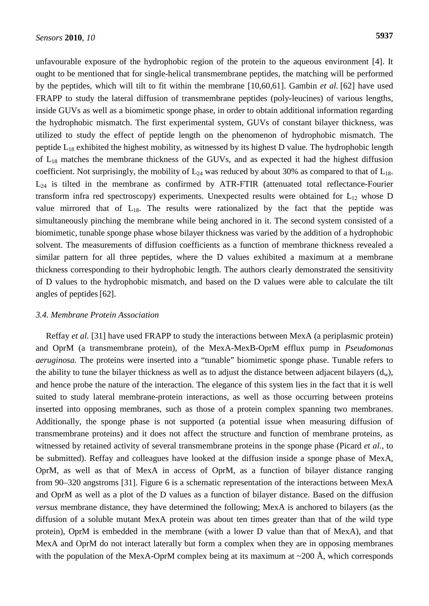unfavourable exposure of the hydrophobic region of the protein to the aqueous environment [4]. It ought to be mentioned that for single-helical transmembrane peptides, the matching will be performed by the peptides, which will tilt to fit within the membrane [10,60,61]. Gambin *et al.* [62] have used FRAPP to study the lateral diffusion of transmembrane peptides (poly-leucines) of various lengths, inside GUVs as well as a biomimetic sponge phase, in order to obtain additional information regarding the hydrophobic mismatch. The first experimental system, GUVs of constant bilayer thickness, was utilized to study the effect of peptide length on the phenomenon of hydrophobic mismatch. The peptide  $L_{18}$  exhibited the highest mobility, as witnessed by its highest D value. The hydrophobic length of  $L_{18}$  matches the membrane thickness of the GUVs, and as expected it had the highest diffusion coefficient. Not surprisingly, the mobility of  $L_{24}$  was reduced by about 30% as compared to that of  $L_{18}$ .  $L_{24}$  is tilted in the membrane as confirmed by ATR-FTIR (attenuated total reflectance-Fourier transform infra red spectroscopy) experiments. Unexpected results were obtained for  $L_{12}$  whose D value mirrored that of  $L_{18}$ . The results were rationalized by the fact that the peptide was simultaneously pinching the membrane while being anchored in it. The second system consisted of a biomimetic, tunable sponge phase whose bilayer thickness was varied by the addition of a hydrophobic solvent. The measurements of diffusion coefficients as a function of membrane thickness revealed a similar pattern for all three peptides, where the D values exhibited a maximum at a membrane thickness corresponding to their hydrophobic length. The authors clearly demonstrated the sensitivity of D values to the hydrophobic mismatch, and based on the D values were able to calculate the tilt angles of peptides[62].

#### *3.4. Membrane Protein Association*

Reffay *et al.* [31] have used FRAPP to study the interactions between MexA (a periplasmic protein) and OprM (a transmembrane protein), of the MexA-MexB-OprM efflux pump in *Pseudomonas aeruginosa.* The proteins were inserted into a "tunable" biomimetic sponge phase. Tunable refers to the ability to tune the bilayer thickness as well as to adjust the distance between adjacent bilayers  $(d_w)$ , and hence probe the nature of the interaction. The elegance of this system lies in the fact that it is well suited to study lateral membrane-protein interactions, as well as those occurring between proteins inserted into opposing membranes, such as those of a protein complex spanning two membranes. Additionally, the sponge phase is not supported (a potential issue when measuring diffusion of transmembrane proteins) and it does not affect the structure and function of membrane proteins, as witnessed by retained activity of several transmembrane proteins in the sponge phase (Picard *et al.*, to be submitted). Reffay and colleagues have looked at the diffusion inside a sponge phase of MexA, OprM, as well as that of MexA in access of OprM, as a function of bilayer distance ranging from 90–320 angstroms [31]. Figure 6 is a schematic representation of the interactions between MexA and OprM as well as a plot of the D values as a function of bilayer distance. Based on the diffusion *versus* membrane distance, they have determined the following; MexA is anchored to bilayers (as the diffusion of a soluble mutant MexA protein was about ten times greater than that of the wild type protein), OprM is embedded in the membrane (with a lower D value than that of MexA), and that MexA and OprM do not interact laterally but form a complex when they are in opposing membranes with the population of the MexA-OprM complex being at its maximum at  $\sim$ 200 Å, which corresponds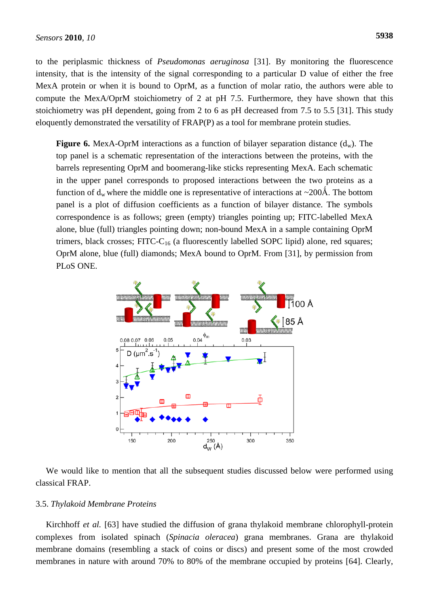to the periplasmic thickness of *Pseudomonas aeruginosa* [31]. By monitoring the fluorescence intensity, that is the intensity of the signal corresponding to a particular D value of either the free MexA protein or when it is bound to OprM, as a function of molar ratio, the authors were able to compute the MexA/OprM stoichiometry of 2 at pH 7.5. Furthermore, they have shown that this stoichiometry was pH dependent, going from 2 to 6 as pH decreased from 7.5 to 5.5 [31]. This study eloquently demonstrated the versatility of FRAP(P) as a tool for membrane protein studies.

**Figure 6.** MexA-OprM interactions as a function of bilayer separation distance (d<sub>w</sub>). The top panel is a schematic representation of the interactions between the proteins, with the barrels representing OprM and boomerang-like sticks representing MexA. Each schematic in the upper panel corresponds to proposed interactions between the two proteins as a function of  $d_w$  where the middle one is representative of interactions at ~200Å. The bottom panel is a plot of diffusion coefficients as a function of bilayer distance. The symbols correspondence is as follows; green (empty) triangles pointing up; FITC-labelled MexA alone, blue (full) triangles pointing down; non-bound MexA in a sample containing OprM trimers, black crosses;  $\text{FITC-C}_{16}$  (a fluorescently labelled SOPC lipid) alone, red squares; OprM alone, blue (full) diamonds; MexA bound to OprM. From [31], by permission from PLoS ONE.



We would like to mention that all the subsequent studies discussed below were performed using classical FRAP.

#### 3.5. *Thylakoid Membrane Proteins*

Kirchhoff *et al.* [63] have studied the diffusion of grana thylakoid membrane chlorophyll-protein complexes from isolated spinach (*Spinacia oleracea*) grana membranes. Grana are thylakoid membrane domains (resembling a stack of coins or discs) and present some of the most crowded membranes in nature with around 70% to 80% of the membrane occupied by proteins [64]. Clearly,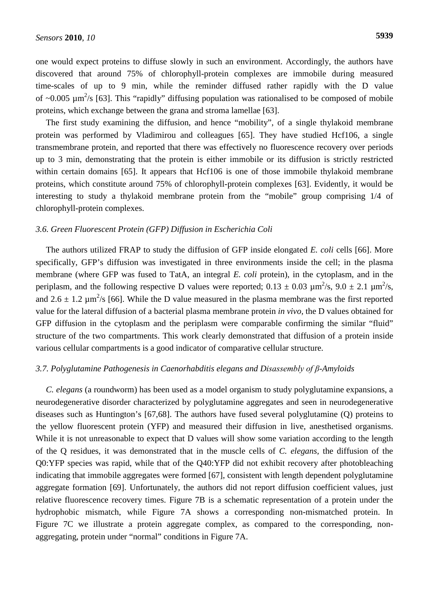one would expect proteins to diffuse slowly in such an environment. Accordingly, the authors have discovered that around 75% of chlorophyll-protein complexes are immobile during measured time-scales of up to 9 min, while the reminder diffused rather rapidly with the D value of  $\sim$ 0.005  $\mu$ m<sup>2</sup>/s [63]. This "rapidly" diffusing population was rationalised to be composed of mobile proteins, which exchange between the grana and stroma lamellae [63].

The first study examining the diffusion, and hence "mobility", of a single thylakoid membrane protein was performed by Vladimirou and colleagues [65]. They have studied Hcf106, a single transmembrane protein, and reported that there was effectively no fluorescence recovery over periods up to 3 min, demonstrating that the protein is either immobile or its diffusion is strictly restricted within certain domains [65]. It appears that Hcf106 is one of those immobile thylakoid membrane proteins, which constitute around 75% of chlorophyll-protein complexes [63]. Evidently, it would be interesting to study a thylakoid membrane protein from the "mobile" group comprising 1/4 of chlorophyll-protein complexes.

## *3.6. Green Fluorescent Protein (GFP) Diffusion in Escherichia Coli*

The authors utilized FRAP to study the diffusion of GFP inside elongated *E. coli* cells [66]. More specifically, GFP's diffusion was investigated in three environments inside the cell; in the plasma membrane (where GFP was fused to TatA, an integral *E. coli* protein), in the cytoplasm, and in the periplasm, and the following respective D values were reported;  $0.13 \pm 0.03 \mu \text{m}^2/\text{s}$ ,  $9.0 \pm 2.1 \mu \text{m}^2/\text{s}$ , and  $2.6 \pm 1.2 \mu m^2$ /s [66]. While the D value measured in the plasma membrane was the first reported value for the lateral diffusion of a bacterial plasma membrane protein *in vivo,* the D values obtained for GFP diffusion in the cytoplasm and the periplasm were comparable confirming the similar "fluid" structure of the two compartments. This work clearly demonstrated that diffusion of a protein inside various cellular compartments is a good indicator of comparative cellular structure.

### *3.7. Polyglutamine Pathogenesis in Caenorhabditis elegans and Disassembly of β-Amyloids*

*C. elegans* (a roundworm) has been used as a model organism to study polyglutamine expansions, a neurodegenerative disorder characterized by polyglutamine aggregates and seen in neurodegenerative diseases such as Huntington's [67,68]. The authors have fused several polyglutamine (Q) proteins to the yellow fluorescent protein (YFP) and measured their diffusion in live, anesthetised organisms. While it is not unreasonable to expect that D values will show some variation according to the length of the Q residues, it was demonstrated that in the muscle cells of *C. elegans,* the diffusion of the Q0:YFP species was rapid, while that of the Q40:YFP did not exhibit recovery after photobleaching indicating that immobile aggregates were formed [67], consistent with length dependent polyglutamine aggregate formation [69]. Unfortunately, the authors did not report diffusion coefficient values, just relative fluorescence recovery times. Figure 7B is a schematic representation of a protein under the hydrophobic mismatch, while Figure 7A shows a corresponding non-mismatched protein. In Figure 7C we illustrate a protein aggregate complex, as compared to the corresponding, nonaggregating, protein under "normal" conditions in Figure 7A.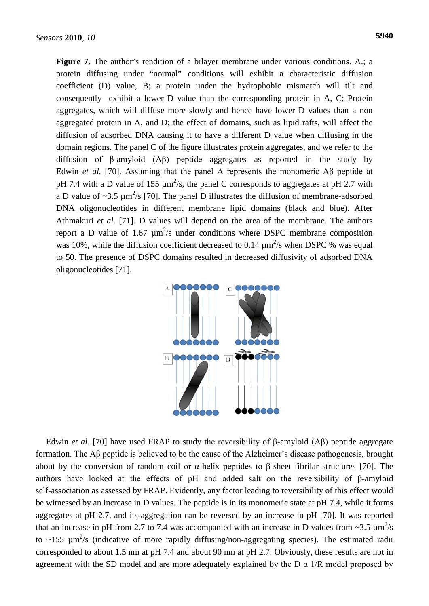**Figure 7.** The author's rendition of a bilayer membrane under various conditions. A.; a protein diffusing under "normal" conditions will exhibit a characteristic diffusion coefficient (D) value, B; a protein under the hydrophobic mismatch will tilt and consequently exhibit a lower D value than the corresponding protein in A, C; Protein aggregates, which will diffuse more slowly and hence have lower D values than a non aggregated protein in A, and D; the effect of domains, such as lipid rafts, will affect the diffusion of adsorbed DNA causing it to have a different D value when diffusing in the domain regions. The panel C of the figure illustrates protein aggregates, and we refer to the diffusion of β-amyloid (Aβ) peptide aggregates as reported in the study by Edwin *et al.* [70]. Assuming that the panel A represents the monomeric Aβ peptide at pH 7.4 with a D value of 155  $\mu$ m<sup>2</sup>/s, the panel C corresponds to aggregates at pH 2.7 with a D value of  $\sim$ 3.5  $\mu$ m<sup>2</sup>/s [70]. The panel D illustrates the diffusion of membrane-adsorbed DNA oligonucleotides in different membrane lipid domains (black and blue). After Athmakuri *et al.* [71]. D values will depend on the area of the membrane. The authors report a D value of 1.67  $\mu$ m<sup>2</sup>/s under conditions where DSPC membrane composition was 10%, while the diffusion coefficient decreased to 0.14  $\mu$ m<sup>2</sup>/s when DSPC % was equal to 50. The presence of DSPC domains resulted in decreased diffusivity of adsorbed DNA oligonucleotides [71].



Edwin *et al.* [70] have used FRAP to study the reversibility of β-amyloid (Aβ) peptide aggregate formation. The Aβ peptide is believed to be the cause of the Alzheimer's disease pathogenesis, brought about by the conversion of random coil or α-helix peptides to β-sheet fibrilar structures [70]. The authors have looked at the effects of pH and added salt on the reversibility of β-amyloid self-association as assessed by FRAP. Evidently, any factor leading to reversibility of this effect would be witnessed by an increase in D values. The peptide is in its monomeric state at pH 7.4, while it forms aggregates at pH 2.7, and its aggregation can be reversed by an increase in pH [70]. It was reported that an increase in pH from 2.7 to 7.4 was accompanied with an increase in D values from  $\sim$ 3.5  $\mu$ m<sup>2</sup>/s to ~155  $\mu$ m<sup>2</sup>/s (indicative of more rapidly diffusing/non-aggregating species). The estimated radii corresponded to about 1.5 nm at pH 7.4 and about 90 nm at pH 2.7. Obviously, these results are not in agreement with the SD model and are more adequately explained by the D  $\alpha$  1/R model proposed by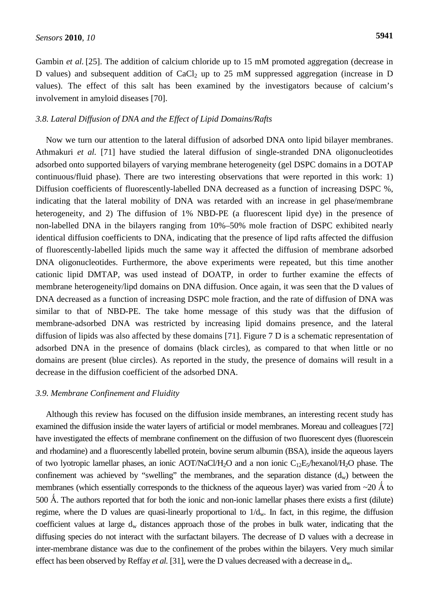Gambin *et al.* [25]. The addition of calcium chloride up to 15 mM promoted aggregation (decrease in D values) and subsequent addition of CaCl<sub>2</sub> up to 25 mM suppressed aggregation (increase in D values). The effect of this salt has been examined by the investigators because of calcium's involvement in amyloid diseases [70].

#### *3.8. Lateral Diffusion of DNA and the Effect of Lipid Domains/Rafts*

Now we turn our attention to the lateral diffusion of adsorbed DNA onto lipid bilayer membranes. Athmakuri *et al.* [71] have studied the lateral diffusion of single-stranded DNA oligonucleotides adsorbed onto supported bilayers of varying membrane heterogeneity (gel DSPC domains in a DOTAP continuous/fluid phase). There are two interesting observations that were reported in this work: 1) Diffusion coefficients of fluorescently-labelled DNA decreased as a function of increasing DSPC %, indicating that the lateral mobility of DNA was retarded with an increase in gel phase/membrane heterogeneity, and 2) The diffusion of 1% NBD-PE (a fluorescent lipid dye) in the presence of non-labelled DNA in the bilayers ranging from 10%–50% mole fraction of DSPC exhibited nearly identical diffusion coefficients to DNA, indicating that the presence of lipd rafts affected the diffusion of fluorescently-labelled lipids much the same way it affected the diffusion of membrane adsorbed DNA oligonucleotides. Furthermore, the above experiments were repeated, but this time another cationic lipid DMTAP, was used instead of DOATP, in order to further examine the effects of membrane heterogeneity/lipd domains on DNA diffusion. Once again, it was seen that the D values of DNA decreased as a function of increasing DSPC mole fraction, and the rate of diffusion of DNA was similar to that of NBD-PE. The take home message of this study was that the diffusion of membrane-adsorbed DNA was restricted by increasing lipid domains presence, and the lateral diffusion of lipids was also affected by these domains [71]. Figure 7 D is a schematic representation of adsorbed DNA in the presence of domains (black circles), as compared to that when little or no domains are present (blue circles). As reported in the study, the presence of domains will result in a decrease in the diffusion coefficient of the adsorbed DNA.

#### *3.9. Membrane Confinement and Fluidity*

Although this review has focused on the diffusion inside membranes, an interesting recent study has examined the diffusion inside the water layers of artificial or model membranes. Moreau and colleagues [72] have investigated the effects of membrane confinement on the diffusion of two fluorescent dyes (fluorescein and rhodamine) and a fluorescently labelled protein, bovine serum albumin (BSA), inside the aqueous layers of two lyotropic lamellar phases, an ionic AOT/NaCl/H<sub>2</sub>O and a non ionic C<sub>12</sub>E<sub>5</sub>/hexanol/H<sub>2</sub>O phase. The confinement was achieved by "swelling" the membranes, and the separation distance  $(d_w)$  between the membranes (which essentially corresponds to the thickness of the aqueous layer) was varied from  $\sim$ 20 Å to  $500 \text{ Å}$ . The authors reported that for both the ionic and non-ionic lamellar phases there exists a first (dilute) regime, where the D values are quasi-linearly proportional to  $1/d<sub>w</sub>$ . In fact, in this regime, the diffusion coefficient values at large  $d_w$  distances approach those of the probes in bulk water, indicating that the diffusing species do not interact with the surfactant bilayers. The decrease of D values with a decrease in inter-membrane distance was due to the confinement of the probes within the bilayers. Very much similar effect has been observed by Reffay *et al.* [31], were the D values decreased with a decrease in  $d_w$ .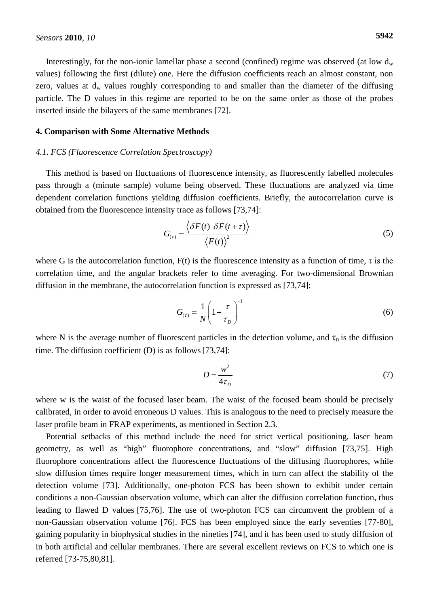Interestingly, for the non-ionic lamellar phase a second (confined) regime was observed (at low  $d_w$ values) following the first (dilute) one. Here the diffusion coefficients reach an almost constant, non zero, values at  $d_w$  values roughly corresponding to and smaller than the diameter of the diffusing particle. The D values in this regime are reported to be on the same order as those of the probes inserted inside the bilayers of the same membranes [72].

#### **4. Comparison with Some Alternative Methods**

#### *4.1. FCS (Fluorescence Correlation Spectroscopy)*

This method is based on fluctuations of fluorescence intensity, as fluorescently labelled molecules pass through a (minute sample) volume being observed. These fluctuations are analyzed via time dependent correlation functions yielding diffusion coefficients. Briefly, the autocorrelation curve is obtained from the fluorescence intensity trace as follows [73,74]:

$$
G_{(\tau)} = \frac{\langle \delta F(t) \ \delta F(t+\tau) \rangle}{\langle F(t) \rangle^2} \tag{5}
$$

where G is the autocorrelation function,  $F(t)$  is the fluorescence intensity as a function of time,  $\tau$  is the correlation time, and the angular brackets refer to time averaging. For two-dimensional Brownian diffusion in the membrane, the autocorrelation function is expressed as [73,74]:

$$
G_{(\tau)} = \frac{1}{N} \left( 1 + \frac{\tau}{\tau_D} \right)^{-1} \tag{6}
$$

where N is the average number of fluorescent particles in the detection volume, and  $\tau_{\rm D}$  is the diffusion time. The diffusion coefficient (D) is as follows[73,74]:

$$
D = \frac{w^2}{4\tau_D} \tag{7}
$$

where w is the waist of the focused laser beam. The waist of the focused beam should be precisely calibrated, in order to avoid erroneous D values. This is analogous to the need to precisely measure the laser profile beam in FRAP experiments, as mentioned in Section 2.3.

Potential setbacks of this method include the need for strict vertical positioning, laser beam geometry, as well as "high" fluorophore concentrations, and "slow" diffusion [73,75]. High fluorophore concentrations affect the fluorescence fluctuations of the diffusing fluorophores, while slow diffusion times require longer measurement times, which in turn can affect the stability of the detection volume [73]. Additionally, one-photon FCS has been shown to exhibit under certain conditions a non-Gaussian observation volume, which can alter the diffusion correlation function, thus leading to flawed D values [75,76]. The use of two-photon FCS can circumvent the problem of a non-Gaussian observation volume [76]. FCS has been employed since the early seventies [77-80], gaining popularity in biophysical studies in the nineties [74], and it has been used to study diffusion of in both artificial and cellular membranes. There are several excellent reviews on FCS to which one is referred [73-75,80,81].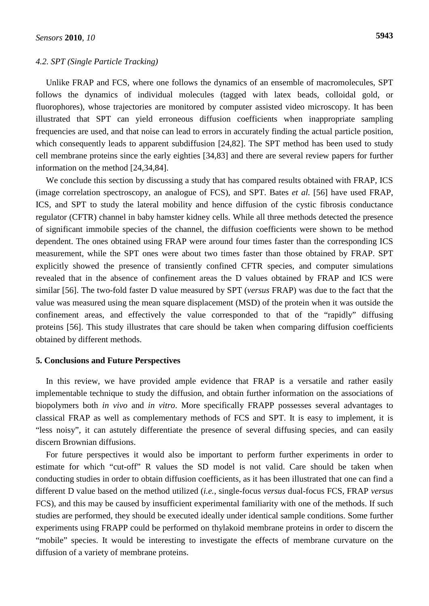#### *4.2. SPT (Single Particle Tracking)*

Unlike FRAP and FCS, where one follows the dynamics of an ensemble of macromolecules, SPT follows the dynamics of individual molecules (tagged with latex beads, colloidal gold, or fluorophores), whose trajectories are monitored by computer assisted video microscopy. It has been illustrated that SPT can yield erroneous diffusion coefficients when inappropriate sampling frequencies are used, and that noise can lead to errors in accurately finding the actual particle position, which consequently leads to apparent subdiffusion [24,82]. The SPT method has been used to study cell membrane proteins since the early eighties [34,83] and there are several review papers for further information on the method [24,34,84].

We conclude this section by discussing a study that has compared results obtained with FRAP, ICS (image correlation spectroscopy, an analogue of FCS), and SPT. Bates *et al.* [56] have used FRAP, ICS, and SPT to study the lateral mobility and hence diffusion of the cystic fibrosis conductance regulator (CFTR) channel in baby hamster kidney cells. While all three methods detected the presence of significant immobile species of the channel, the diffusion coefficients were shown to be method dependent. The ones obtained using FRAP were around four times faster than the corresponding ICS measurement, while the SPT ones were about two times faster than those obtained by FRAP. SPT explicitly showed the presence of transiently confined CFTR species, and computer simulations revealed that in the absence of confinement areas the D values obtained by FRAP and ICS were similar [56]. The two-fold faster D value measured by SPT (*versus* FRAP) was due to the fact that the value was measured using the mean square displacement (MSD) of the protein when it was outside the confinement areas, and effectively the value corresponded to that of the "rapidly" diffusing proteins [56]. This study illustrates that care should be taken when comparing diffusion coefficients obtained by different methods.

### **5. Conclusions and Future Perspectives**

In this review, we have provided ample evidence that FRAP is a versatile and rather easily implementable technique to study the diffusion, and obtain further information on the associations of biopolymers both *in vivo* and *in vitro*. More specifically FRAPP possesses several advantages to classical FRAP as well as complementary methods of FCS and SPT. It is easy to implement, it is "less noisy", it can astutely differentiate the presence of several diffusing species, and can easily discern Brownian diffusions.

For future perspectives it would also be important to perform further experiments in order to estimate for which "cut-off" R values the SD model is not valid. Care should be taken when conducting studies in order to obtain diffusion coefficients, as it has been illustrated that one can find a different D value based on the method utilized (*i.e.*, single-focus *versus* dual-focus FCS, FRAP *versus* FCS), and this may be caused by insufficient experimental familiarity with one of the methods. If such studies are performed, they should be executed ideally under identical sample conditions. Some further experiments using FRAPP could be performed on thylakoid membrane proteins in order to discern the "mobile" species. It would be interesting to investigate the effects of membrane curvature on the diffusion of a variety of membrane proteins.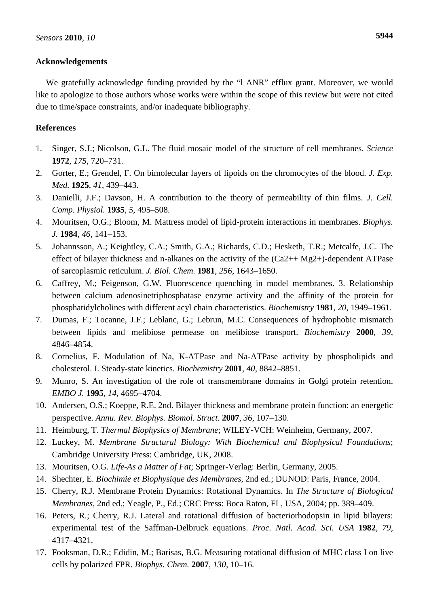### **Acknowledgements**

We gratefully acknowledge funding provided by the "1 ANR" efflux grant. Moreover, we would like to apologize to those authors whose works were within the scope of this review but were not cited due to time/space constraints, and/or inadequate bibliography.

## **References**

- 1. Singer, S.J.; Nicolson, G.L. The fluid mosaic model of the structure of cell membranes. *Science*  **1972**, *175*, 720–731.
- 2. Gorter, E.; Grendel, F. On bimolecular layers of lipoids on the chromocytes of the blood. *J. Exp. Med.* **1925**, *41*, 439–443.
- 3. Danielli, J.F.; Davson, H. A contribution to the theory of permeability of thin films. *J. Cell. Comp. Physiol.* **1935**, *5*, 495–508.
- 4. Mouritsen, O.G.; Bloom, M. Mattress model of lipid-protein interactions in membranes. *Biophys. J.* **1984**, *46*, 141–153.
- 5. Johannsson, A.; Keightley, C.A.; Smith, G.A.; Richards, C.D.; Hesketh, T.R.; Metcalfe, J.C. The effect of bilayer thickness and n-alkanes on the activity of the  $(Ca2++ Mg2+)$ -dependent ATPase of sarcoplasmic reticulum. *J. Biol. Chem.* **1981**, *256*, 1643–1650.
- 6. Caffrey, M.; Feigenson, G.W. Fluorescence quenching in model membranes. 3. Relationship between calcium adenosinetriphosphatase enzyme activity and the affinity of the protein for phosphatidylcholines with different acyl chain characteristics. *Biochemistry* **1981**, *20*, 1949–1961.
- 7. Dumas, F.; Tocanne, J.F.; Leblanc, G.; Lebrun, M.C. Consequences of hydrophobic mismatch between lipids and melibiose permease on melibiose transport. *Biochemistry* **2000**, *39*, 4846–4854.
- 8. Cornelius, F. Modulation of Na, K-ATPase and Na-ATPase activity by phospholipids and cholesterol. I. Steady-state kinetics. *Biochemistry* **2001**, *40*, 8842–8851.
- 9. Munro, S. An investigation of the role of transmembrane domains in Golgi protein retention. *EMBO J.* **1995**, *14*, 4695–4704.
- 10. Andersen, O.S.; Koeppe, R.E. 2nd. Bilayer thickness and membrane protein function: an energetic perspective. *Annu. Rev. Biophys. Biomol. Struct.* **2007**, *36*, 107–130.
- 11. Heimburg, T. *Thermal Biophysics of Membrane*; WILEY-VCH: Weinheim, Germany, 2007.
- 12. Luckey, M. *Membrane Structural Biology: With Biochemical and Biophysical Foundations*; Cambridge University Press: Cambridge, UK, 2008.
- 13. Mouritsen, O.G. *Life-As a Matter of Fat*; Springer-Verlag: Berlin, Germany, 2005.
- 14. Shechter, E. *Biochimie et Biophysique des Membranes*, 2nd ed.; DUNOD: Paris, France, 2004.
- 15. Cherry, R.J. Membrane Protein Dynamics: Rotational Dynamics. In *The Structure of Biological Membranes*, 2nd ed.; Yeagle, P., Ed.; CRC Press: Boca Raton, FL, USA, 2004; pp. 389–409.
- 16. Peters, R.; Cherry, R.J. Lateral and rotational diffusion of bacteriorhodopsin in lipid bilayers: experimental test of the Saffman-Delbruck equations. *Proc. Natl. Acad. Sci. USA* **1982**, *79*, 4317–4321.
- 17. Fooksman, D.R.; Edidin, M.; Barisas, B.G. Measuring rotational diffusion of MHC class I on live cells by polarized FPR. *Biophys. Chem.* **2007**, *130*, 10–16.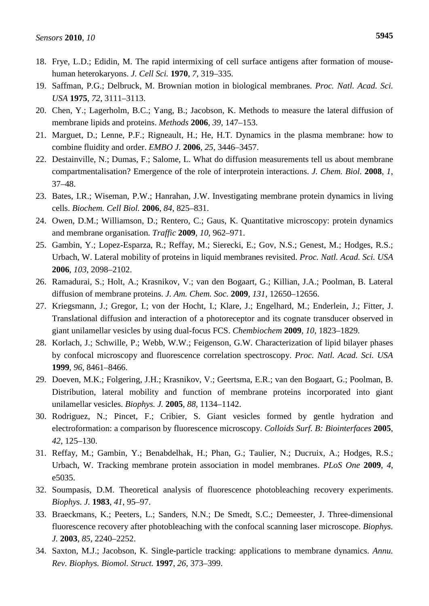- 18. Frye, L.D.; Edidin, M. The rapid intermixing of cell surface antigens after formation of mousehuman heterokaryons. *J. Cell Sci.* **1970**, *7*, 319–335.
- 19. Saffman, P.G.; Delbruck, M. Brownian motion in biological membranes. *Proc. Natl. Acad. Sci. USA* **1975**, *72*, 3111–3113.
- 20. Chen, Y.; Lagerholm, B.C.; Yang, B.; Jacobson, K. Methods to measure the lateral diffusion of membrane lipids and proteins. *Methods* **2006**, *39*, 147–153.
- 21. Marguet, D.; Lenne, P.F.; Rigneault, H.; He, H.T. Dynamics in the plasma membrane: how to combine fluidity and order. *EMBO J.* **2006**, *25*, 3446–3457.
- 22. Destainville, N.; Dumas, F.; Salome, L. What do diffusion measurements tell us about membrane compartmentalisation? Emergence of the role of interprotein interactions. *J. Chem. Biol.* **2008**, *1*, 37–48.
- 23. Bates, I.R.; Wiseman, P.W.; Hanrahan, J.W. Investigating membrane protein dynamics in living cells. *Biochem. Cell Biol.* **2006**, *84*, 825–831.
- 24. Owen, D.M.; Williamson, D.; Rentero, C.; Gaus, K. Quantitative microscopy: protein dynamics and membrane organisation. *Traffic* **2009**, *10*, 962–971.
- 25. Gambin, Y.; Lopez-Esparza, R.; Reffay, M.; Sierecki, E.; Gov, N.S.; Genest, M.; Hodges, R.S.; Urbach, W. Lateral mobility of proteins in liquid membranes revisited. *Proc. Natl. Acad. Sci. USA*  **2006**, *103*, 2098–2102.
- 26. Ramadurai, S.; Holt, A.; Krasnikov, V.; van den Bogaart, G.; Killian, J.A.; Poolman, B. Lateral diffusion of membrane proteins. *J. Am. Chem. Soc.* **2009**, *131*, 12650–12656.
- 27. Kriegsmann, J.; Gregor, I.; von der Hocht, I.; Klare, J.; Engelhard, M.; Enderlein, J.; Fitter, J. Translational diffusion and interaction of a photoreceptor and its cognate transducer observed in giant unilamellar vesicles by using dual-focus FCS. *Chembiochem* **2009**, *10*, 1823–1829.
- 28. Korlach, J.; Schwille, P.; Webb, W.W.; Feigenson, G.W. Characterization of lipid bilayer phases by confocal microscopy and fluorescence correlation spectroscopy. *Proc. Natl. Acad. Sci. USA* **1999**, *96*, 8461–8466.
- 29. Doeven, M.K.; Folgering, J.H.; Krasnikov, V.; Geertsma, E.R.; van den Bogaart, G.; Poolman, B. Distribution, lateral mobility and function of membrane proteins incorporated into giant unilamellar vesicles. *Biophys. J.* **2005**, *88*, 1134–1142.
- 30. Rodriguez, N.; Pincet, F.; Cribier, S. Giant vesicles formed by gentle hydration and electroformation: a comparison by fluorescence microscopy. *Colloids Surf. B: Biointerfaces* **2005**, *42*, 125–130.
- 31. Reffay, M.; Gambin, Y.; Benabdelhak, H.; Phan, G.; Taulier, N.; Ducruix, A.; Hodges, R.S.; Urbach, W. Tracking membrane protein association in model membranes. *PLoS One* **2009**, *4*, e5035.
- 32. Soumpasis, D.M. Theoretical analysis of fluorescence photobleaching recovery experiments. *Biophys. J.* **1983**, *41*, 95–97.
- 33. Braeckmans, K.; Peeters, L.; Sanders, N.N.; De Smedt, S.C.; Demeester, J. Three-dimensional fluorescence recovery after photobleaching with the confocal scanning laser microscope. *Biophys. J.* **2003**, *85*, 2240–2252.
- 34. Saxton, M.J.; Jacobson, K. Single-particle tracking: applications to membrane dynamics. *Annu. Rev. Biophys. Biomol. Struct.* **1997**, *26*, 373–399.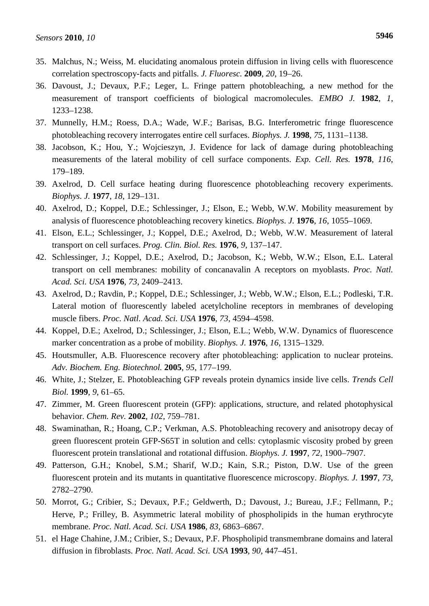- 35. Malchus, N.; Weiss, M. elucidating anomalous protein diffusion in living cells with fluorescence correlation spectroscopy-facts and pitfalls. *J. Fluoresc.* **2009**, *20*, 19–26.
- 36. Davoust, J.; Devaux, P.F.; Leger, L. Fringe pattern photobleaching, a new method for the measurement of transport coefficients of biological macromolecules. *EMBO J.* **1982**, *1*, 1233–1238.
- 37. Munnelly, H.M.; Roess, D.A.; Wade, W.F.; Barisas, B.G. Interferometric fringe fluorescence photobleaching recovery interrogates entire cell surfaces. *Biophys. J.* **1998**, *75*, 1131–1138.
- 38. Jacobson, K.; Hou, Y.; Wojcieszyn, J. Evidence for lack of damage during photobleaching measurements of the lateral mobility of cell surface components. *Exp. Cell. Res.* **1978**, *116*, 179–189.
- 39. Axelrod, D. Cell surface heating during fluorescence photobleaching recovery experiments. *Biophys. J.* **1977**, *18*, 129–131.
- 40. Axelrod, D.; Koppel, D.E.; Schlessinger, J.; Elson, E.; Webb, W.W. Mobility measurement by analysis of fluorescence photobleaching recovery kinetics. *Biophys. J.* **1976**, *16*, 1055–1069.
- 41. Elson, E.L.; Schlessinger, J.; Koppel, D.E.; Axelrod, D.; Webb, W.W. Measurement of lateral transport on cell surfaces. *Prog. Clin. Biol. Res.* **1976**, *9*, 137–147.
- 42. Schlessinger, J.; Koppel, D.E.; Axelrod, D.; Jacobson, K.; Webb, W.W.; Elson, E.L. Lateral transport on cell membranes: mobility of concanavalin A receptors on myoblasts. *Proc. Natl. Acad. Sci. USA* **1976**, *73*, 2409–2413.
- 43. Axelrod, D.; Ravdin, P.; Koppel, D.E.; Schlessinger, J.; Webb, W.W.; Elson, E.L.; Podleski, T.R. Lateral motion of fluorescently labeled acetylcholine receptors in membranes of developing muscle fibers. *Proc. Natl. Acad. Sci. USA* **1976**, *73*, 4594–4598.
- 44. Koppel, D.E.; Axelrod, D.; Schlessinger, J.; Elson, E.L.; Webb, W.W. Dynamics of fluorescence marker concentration as a probe of mobility. *Biophys. J.* **1976**, *16*, 1315–1329.
- 45. Houtsmuller, A.B. Fluorescence recovery after photobleaching: application to nuclear proteins. *Adv. Biochem. Eng. Biotechnol.* **2005**, *95*, 177–199.
- 46. White, J.; Stelzer, E. Photobleaching GFP reveals protein dynamics inside live cells. *Trends Cell Biol.* **1999**, *9*, 61–65.
- 47. Zimmer, M. Green fluorescent protein (GFP): applications, structure, and related photophysical behavior. *Chem. Rev.* **2002**, *102*, 759–781.
- 48. Swaminathan, R.; Hoang, C.P.; Verkman, A.S. Photobleaching recovery and anisotropy decay of green fluorescent protein GFP-S65T in solution and cells: cytoplasmic viscosity probed by green fluorescent protein translational and rotational diffusion. *Biophys. J.* **1997**, *72*, 1900–7907.
- 49. Patterson, G.H.; Knobel, S.M.; Sharif, W.D.; Kain, S.R.; Piston, D.W. Use of the green fluorescent protein and its mutants in quantitative fluorescence microscopy. *Biophys. J.* **1997**, *73*, 2782–2790.
- 50. Morrot, G.; Cribier, S.; Devaux, P.F.; Geldwerth, D.; Davoust, J.; Bureau, J.F.; Fellmann, P.; Herve, P.; Frilley, B. Asymmetric lateral mobility of phospholipids in the human erythrocyte membrane. *Proc. Natl. Acad. Sci. USA* **1986**, *83*, 6863–6867.
- 51. el Hage Chahine, J.M.; Cribier, S.; Devaux, P.F. Phospholipid transmembrane domains and lateral diffusion in fibroblasts. *Proc. Natl. Acad. Sci. USA* **1993**, *90*, 447–451.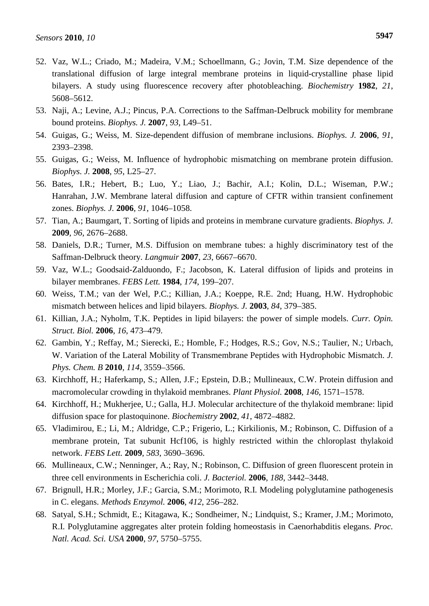- 52. Vaz, W.L.; Criado, M.; Madeira, V.M.; Schoellmann, G.; Jovin, T.M. Size dependence of the translational diffusion of large integral membrane proteins in liquid-crystalline phase lipid bilayers. A study using fluorescence recovery after photobleaching. *Biochemistry* **1982**, *21*, 5608–5612.
- 53. Naji, A.; Levine, A.J.; Pincus, P.A. Corrections to the Saffman-Delbruck mobility for membrane bound proteins. *Biophys. J.* **2007**, *93*, L49–51.
- 54. Guigas, G.; Weiss, M. Size-dependent diffusion of membrane inclusions. *Biophys. J.* **2006**, *91*, 2393–2398.
- 55. Guigas, G.; Weiss, M. Influence of hydrophobic mismatching on membrane protein diffusion. *Biophys. J.* **2008**, *95*, L25–27.
- 56. Bates, I.R.; Hebert, B.; Luo, Y.; Liao, J.; Bachir, A.I.; Kolin, D.L.; Wiseman, P.W.; Hanrahan, J.W. Membrane lateral diffusion and capture of CFTR within transient confinement zones. *Biophys. J.* **2006**, *91*, 1046–1058.
- 57. Tian, A.; Baumgart, T. Sorting of lipids and proteins in membrane curvature gradients. *Biophys. J.* **2009**, *96*, 2676–2688.
- 58. Daniels, D.R.; Turner, M.S. Diffusion on membrane tubes: a highly discriminatory test of the Saffman-Delbruck theory. *Langmuir* **2007**, *23*, 6667–6670.
- 59. Vaz, W.L.; Goodsaid-Zalduondo, F.; Jacobson, K. Lateral diffusion of lipids and proteins in bilayer membranes. *FEBS Lett.* **1984**, *174*, 199–207.
- 60. Weiss, T.M.; van der Wel, P.C.; Killian, J.A.; Koeppe, R.E. 2nd; Huang, H.W. Hydrophobic mismatch between helices and lipid bilayers. *Biophys. J.* **2003**, *84*, 379–385.
- 61. Killian, J.A.; Nyholm, T.K. Peptides in lipid bilayers: the power of simple models. *Curr. Opin. Struct. Biol.* **2006**, *16*, 473–479.
- 62. Gambin, Y.; Reffay, M.; Sierecki, E.; Homble, F.; Hodges, R.S.; Gov, N.S.; Taulier, N.; Urbach, W. Variation of the Lateral Mobility of Transmembrane Peptides with Hydrophobic Mismatch. *J. Phys. Chem. B* **2010**, *114*, 3559–3566.
- 63. Kirchhoff, H.; Haferkamp, S.; Allen, J.F.; Epstein, D.B.; Mullineaux, C.W. Protein diffusion and macromolecular crowding in thylakoid membranes. *Plant Physiol.* **2008**, *146*, 1571–1578.
- 64. Kirchhoff, H.; Mukherjee, U.; Galla, H.J. Molecular architecture of the thylakoid membrane: lipid diffusion space for plastoquinone. *Biochemistry* **2002**, *41*, 4872–4882.
- 65. Vladimirou, E.; Li, M.; Aldridge, C.P.; Frigerio, L.; Kirkilionis, M.; Robinson, C. Diffusion of a membrane protein, Tat subunit Hcf106, is highly restricted within the chloroplast thylakoid network. *FEBS Lett.* **2009**, *583*, 3690–3696.
- 66. Mullineaux, C.W.; Nenninger, A.; Ray, N.; Robinson, C. Diffusion of green fluorescent protein in three cell environments in Escherichia coli. *J. Bacteriol.* **2006**, *188*, 3442–3448.
- 67. Brignull, H.R.; Morley, J.F.; Garcia, S.M.; Morimoto, R.I. Modeling polyglutamine pathogenesis in C. elegans. *Methods Enzymol.* **2006**, *412*, 256–282.
- 68. Satyal, S.H.; Schmidt, E.; Kitagawa, K.; Sondheimer, N.; Lindquist, S.; Kramer, J.M.; Morimoto, R.I. Polyglutamine aggregates alter protein folding homeostasis in Caenorhabditis elegans. *Proc. Natl. Acad. Sci. USA* **2000**, *97*, 5750–5755.